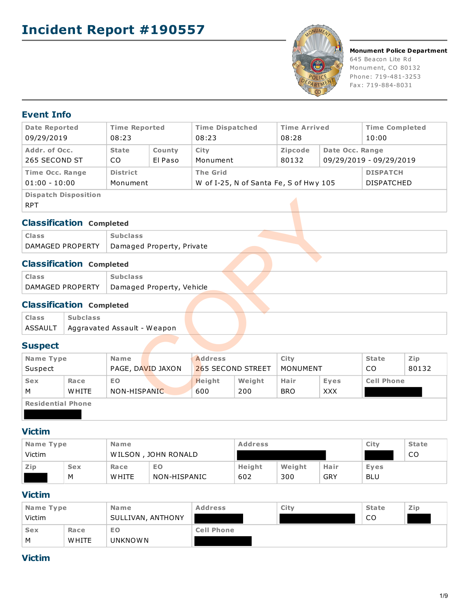

#### **Monument Police Department**

645 Beacon Lite Rd Monument, CO 80132 Phone: 719-481-3253 Fax: 719-884-8031

### **Event Info**

| <b>Date Reported</b><br>09/29/2019        | <b>Time Reported</b><br>08:23            |  | <b>Time Dispatched</b><br>08:23                           | <b>Time Arrived</b><br>08:28 |                 | <b>Time Completed</b><br>10:00       |
|-------------------------------------------|------------------------------------------|--|-----------------------------------------------------------|------------------------------|-----------------|--------------------------------------|
| Addr. of Occ.<br>265 SECOND ST            | <b>State</b><br>County<br>El Paso<br>CO. |  | City<br>Monument                                          | <b>Zipcode</b><br>80132      | Date Occ. Range | 09/29/2019 - 09/29/2019              |
| <b>Time Occ. Range</b><br>$01:00 - 10:00$ | <b>District</b><br>Monument              |  | <b>The Grid</b><br>W of I-25, N of Santa Fe, S of Hwy 105 |                              |                 | <b>DISPATCH</b><br><b>DISPATCHED</b> |
| <b>Dispatch Disposition</b><br><b>RPT</b> |                                          |  |                                                           |                              |                 |                                      |

### **Classification Completed**

| <b>Class</b>     | <b>Subclass</b>           |  |  |
|------------------|---------------------------|--|--|
| DAMAGED PROPERTY | Damaged Property, Private |  |  |
|                  |                           |  |  |

## **Classification Completed**

| Class            | <b>Subclass</b>           |  |
|------------------|---------------------------|--|
| DAMAGED PROPERTY | Damaged Property, Vehicle |  |

## **Classification Completed**

| <b>Class</b> | <b>Subclass</b>                       |  |  |  |
|--------------|---------------------------------------|--|--|--|
|              | ASSAULT   Aggravated Assault - Weapon |  |  |  |
|              |                                       |  |  |  |

## **Suspect**

| <b>RPT</b>               | - 10 p a to  - 10 p o o . t. o  |                 |                           |                |                   |                 |            |                   |       |
|--------------------------|---------------------------------|-----------------|---------------------------|----------------|-------------------|-----------------|------------|-------------------|-------|
|                          | <b>Classification Completed</b> |                 |                           |                |                   |                 |            |                   |       |
| <b>Class</b>             |                                 | <b>Subclass</b> |                           |                |                   |                 |            |                   |       |
|                          | DAMAGED PROPERTY                |                 | Damaged Property, Private |                |                   |                 |            |                   |       |
|                          | <b>Classification Completed</b> |                 |                           |                |                   |                 |            |                   |       |
| <b>Class</b>             |                                 | <b>Subclass</b> |                           |                |                   |                 |            |                   |       |
|                          | DAMAGED PROPERTY                |                 | Damaged Property, Vehicle |                |                   |                 |            |                   |       |
|                          | <b>Classification Completed</b> |                 |                           |                |                   |                 |            |                   |       |
| <b>Class</b>             | <b>Subclass</b>                 |                 |                           |                |                   |                 |            |                   |       |
| ASSAULT                  | Aggravated Assault - Weapon     |                 |                           |                |                   |                 |            |                   |       |
| <b>Suspect</b>           |                                 |                 |                           |                |                   |                 |            |                   |       |
| Name Type                |                                 | Name            |                           | <b>Address</b> |                   | City            |            | <b>State</b>      | Zip   |
| Suspect                  |                                 |                 | PAGE, DAVID JAXON         |                | 265 SECOND STREET | <b>MONUMENT</b> |            | CO.               | 80132 |
| <b>Sex</b>               | Race                            | E <sub>O</sub>  |                           | <b>Height</b>  | Weight            | Hair            | Eyes       | <b>Cell Phone</b> |       |
| м                        | <b>WHITE</b>                    | NON-HISPANIC    |                           | 600            | 200               | <b>BRO</b>      | <b>XXX</b> |                   |       |
| <b>Residential Phone</b> |                                 |                 |                           |                |                   |                 |            |                   |       |
|                          |                                 |                 |                           |                |                   |                 |            |                   |       |

### **Victim**

| Name Type |                     | <b>Name</b>  |              | <b>Address</b> |        |            | City       | <b>State</b> |
|-----------|---------------------|--------------|--------------|----------------|--------|------------|------------|--------------|
| Victim    | WILSON, JOHN RONALD |              |              |                |        |            | CO         |              |
| Zip       | <b>Sex</b>          | Race         | EO           | Height         | Weight | Hair       | Eyes       |              |
|           | M                   | <b>WHITE</b> | NON-HISPANIC | 602            | 300    | <b>GRY</b> | <b>BLU</b> |              |

### **Victim**

| Name Type  |              | <b>Name</b>       | <b>Address</b>    | City | <b>State</b> | Zip |
|------------|--------------|-------------------|-------------------|------|--------------|-----|
| Victim     |              | SULLIVAN, ANTHONY |                   |      | CO           |     |
| <b>Sex</b> | Race         | <b>EO</b>         | <b>Cell Phone</b> |      |              |     |
| M          | <b>WHITE</b> | <b>UNKNOWN</b>    |                   |      |              |     |

### **Victim**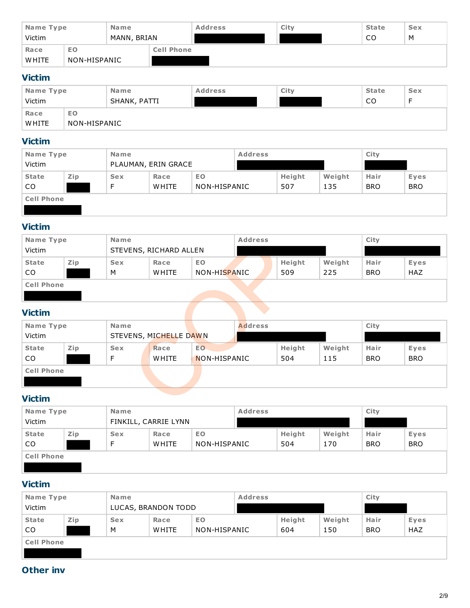| Name Type<br><b>Name</b><br>Victim<br>MANN, BRIAN |              |  | <b>Address</b>    | City | <b>State</b><br>CO | <b>Sex</b><br>M |  |
|---------------------------------------------------|--------------|--|-------------------|------|--------------------|-----------------|--|
| Race                                              | EO           |  | <b>Cell Phone</b> |      |                    |                 |  |
| <b>WHITE</b>                                      | NON-HISPANIC |  |                   |      |                    |                 |  |

## **Victim**

| Name Type    |              | <b>Name</b>  | <b>Address</b> | City | <b>State</b> | <b>Sex</b> |
|--------------|--------------|--------------|----------------|------|--------------|------------|
| Victim       |              | SHANK, PATTI |                |      | CO           |            |
| Race         | EO           |              |                |      |              |            |
| <b>WHITE</b> | NON-HISPANIC |              |                |      |              |            |

## **Victim**

| Name Type         |     | <b>Name</b>         |              |              | <b>Address</b> |        | City   |            |            |
|-------------------|-----|---------------------|--------------|--------------|----------------|--------|--------|------------|------------|
| Victim            |     | PLAUMAN, ERIN GRACE |              |              |                |        |        |            |            |
| <b>State</b>      | Zip | <b>Sex</b>          | EO.<br>Race  |              |                | Height | Weight | Hair       | Eyes       |
| CO.               |     | Е                   | <b>WHITE</b> | NON-HISPANIC |                | 507    | 135    | <b>BRO</b> | <b>BRO</b> |
| <b>Cell Phone</b> |     |                     |              |              |                |        |        |            |            |
|                   |     |                     |              |              |                |        |        |            |            |

## **Victim**

| Name Type         |                        | <b>Name</b> |              |              | <b>Address</b> |  |        | City   |            |            |
|-------------------|------------------------|-------------|--------------|--------------|----------------|--|--------|--------|------------|------------|
| Victim            | STEVENS, RICHARD ALLEN |             |              |              |                |  |        |        |            |            |
| <b>State</b>      | Zip                    | <b>Sex</b>  | Race         | EO.          |                |  | Height | Weight | Hair       | Eyes       |
| <sub>CO</sub>     |                        | M           | <b>WHITE</b> | NON-HISPANIC |                |  | 509    | 225    | <b>BRO</b> | <b>HAZ</b> |
| <b>Cell Phone</b> |                        |             |              |              |                |  |        |        |            |            |
|                   |                        |             |              |              |                |  |        |        |            |            |

## **Victim**

| Name Type         |     | Name       |                        |              | <b>Address</b> | City   |        |            |            |  |
|-------------------|-----|------------|------------------------|--------------|----------------|--------|--------|------------|------------|--|
| Victim            |     |            | STEVENS, RICHARD ALLEN |              |                |        |        |            |            |  |
| <b>State</b>      | Zip | <b>Sex</b> | Race                   | EO.          |                | Height | Weight | Hair       | Eyes       |  |
| CO                |     | М          | <b>WHITE</b>           | NON-HISPANIC |                | 509    | 225    | <b>BRO</b> | <b>HAZ</b> |  |
| <b>Cell Phone</b> |     |            |                        |              |                |        |        |            |            |  |
|                   |     |            |                        |              |                |        |        |            |            |  |
| <b>Victim</b>     |     |            |                        |              |                |        |        |            |            |  |
| Name Type         |     | Name       |                        |              | <b>Address</b> |        |        | City       |            |  |
| Victim            |     |            | STEVENS, MICHELLE DAWN |              |                |        |        |            |            |  |
| <b>State</b>      | Zip | <b>Sex</b> | Race                   | EO.          |                | Height | Weight | Hair       | Eyes       |  |
| CO.               |     | F          | <b>WHITE</b>           | NON-HISPANIC |                | 504    | 115    | <b>BRO</b> | <b>BRO</b> |  |
| <b>Cell Phone</b> |     |            |                        |              |                |        |        |            |            |  |
|                   |     |            |                        |              |                |        |        |            |            |  |
| <b>Victim</b>     |     |            |                        |              |                |        |        |            |            |  |

# **Victim**

| Name Type         |     | <b>Name</b> |                      |              | <b>Address</b> |        |        | City       |            |
|-------------------|-----|-------------|----------------------|--------------|----------------|--------|--------|------------|------------|
| Victim            |     |             | FINKILL, CARRIE LYNN |              |                |        |        |            |            |
| <b>State</b>      | Zip | <b>Sex</b>  | Race                 | EO.          |                | Height | Weight | Hair       | Eyes       |
| CO.               |     | Е           | <b>WHITE</b>         | NON-HISPANIC |                | 504    | 170    | <b>BRO</b> | <b>BRO</b> |
| <b>Cell Phone</b> |     |             |                      |              |                |        |        |            |            |
|                   |     |             |                      |              |                |        |        |            |            |

# **Victim**

| Name Type         |     | <b>Name</b> |                     |              | <b>Address</b> |        | City   |            |            |
|-------------------|-----|-------------|---------------------|--------------|----------------|--------|--------|------------|------------|
| Victim            |     |             | LUCAS, BRANDON TODD |              |                |        |        |            |            |
| <b>State</b>      | Zip | <b>Sex</b>  | Race                | EO.          |                | Height | Weight | Hair       | Eyes       |
| CO.               |     | M           | <b>WHITE</b>        | NON-HISPANIC |                | 604    | 150    | <b>BRO</b> | <b>HAZ</b> |
| <b>Cell Phone</b> |     |             |                     |              |                |        |        |            |            |
|                   |     |             |                     |              |                |        |        |            |            |

# **Other inv**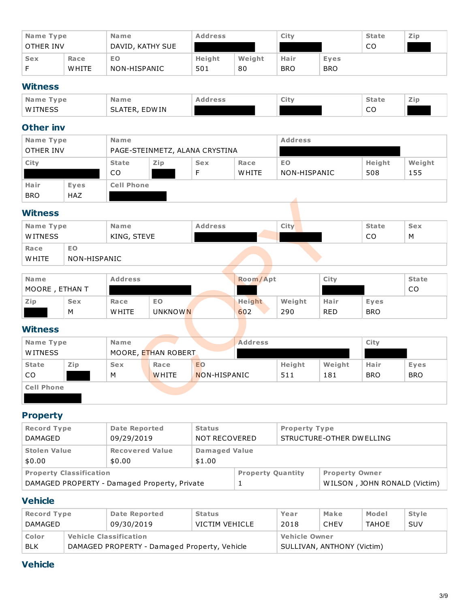| Name Type  |              | <b>Name</b>      | <b>Address</b> |        | City       |            | <b>State</b> | Zip |
|------------|--------------|------------------|----------------|--------|------------|------------|--------------|-----|
| OTHER INV  |              | DAVID, KATHY SUE |                |        |            |            | CO           |     |
| <b>Sex</b> | Race         | EO               | Height         | Weight | Hair       | Eyes       |              |     |
|            | <b>WHITE</b> | NON-HISPANIC     | 501            | 80     | <b>BRO</b> | <b>BRO</b> |              |     |

### **Witness**

| Name Type      | Name                    | Address | City | <b>State</b> | Zip |
|----------------|-------------------------|---------|------|--------------|-----|
| <b>WITNESS</b> | <b>EDWIN</b><br>SLATER, |         |      | ~~<br>__     |     |

## **Other inv**

| Name Type<br>OTHER INV |                           | <b>Name</b>        | PAGE-STEINMETZ, ALANA CRYSTINA |                 |                      | <b>Address</b>            |               |               |
|------------------------|---------------------------|--------------------|--------------------------------|-----------------|----------------------|---------------------------|---------------|---------------|
| City                   |                           | <b>State</b><br>CO | Zip                            | <b>Sex</b><br>Е | Race<br><b>WHITE</b> | <b>EO</b><br>NON-HISPANIC | Height<br>508 | Weight<br>155 |
| Hair<br><b>BRO</b>     | <b>Eves</b><br><b>HAZ</b> | <b>Cell Phone</b>  |                                |                 |                      |                           |               |               |

## **Witness**

| Name Type<br>WITNESS |                    | <b>Name</b><br>KING, STEVE | <b>Address</b> | City |  | <b>State</b><br>CO | <b>Sex</b><br>M |
|----------------------|--------------------|----------------------------|----------------|------|--|--------------------|-----------------|
| Race<br>WHITE        | EO<br>NON-HISPANIC |                            |                |      |  |                    |                 |

| <b>Name</b>    |            | <b>Address</b> |           | Room/Apt |        | City       |            | <b>State</b> |
|----------------|------------|----------------|-----------|----------|--------|------------|------------|--------------|
| MOORE, ETHAN T |            |                |           |          |        |            |            | CO           |
| Zip            | <b>Sex</b> | Race           | <b>EO</b> | Height   | Weight | Hair       | Eyes       |              |
|                | M          | <b>WHITE</b>   | UNKNOWN   | 602      | 290    | <b>RED</b> | <b>BRO</b> |              |

### **Witness**

|                | Name           |                   | <b>Address</b> |                                       | City         |            | <b>State</b> | <b>Sex</b>   |
|----------------|----------------|-------------------|----------------|---------------------------------------|--------------|------------|--------------|--------------|
|                |                |                   |                |                                       |              |            | CO.          | M            |
| <b>EO</b>      |                |                   |                |                                       |              |            |              |              |
|                |                |                   |                |                                       |              |            |              |              |
|                |                |                   |                |                                       |              |            |              |              |
|                | <b>Address</b> |                   |                | Room/Apt                              |              | City       |              | <b>State</b> |
| MOORE, ETHAN T |                |                   |                |                                       |              |            |              | CO           |
| <b>Sex</b>     | Race           | <b>EO</b>         |                | <b>Height</b>                         | Weight       | Hair       | Eyes         |              |
|                | <b>WHITE</b>   |                   |                | 602                                   | 290          | <b>RED</b> | <b>BRO</b>   |              |
|                |                |                   |                |                                       |              |            |              |              |
|                | Name           |                   |                | <b>Address</b>                        |              |            | City         |              |
|                |                |                   |                |                                       |              |            |              |              |
| Zip            | <b>Sex</b>     | Race              | <b>EO</b>      |                                       | Height       | Weight     | Hair         | Eyes         |
|                |                | <b>WHITE</b>      |                |                                       | 511          | 181        | <b>BRO</b>   | <b>BRO</b>   |
|                |                |                   |                |                                       |              |            |              |              |
|                |                |                   |                |                                       |              |            |              |              |
|                |                | NON-HISPANIC<br>M | KING, STEVE    | <b>UNKNOWN</b><br>MOORE, ETHAN ROBERT | NON-HISPANIC |            |              |              |

# **Property**

| <b>Record Type</b><br>DAMAGED  | <b>Date Reported</b><br>09/29/2019           | <b>Status</b><br><b>Property Type</b><br>STRUCTURE-OTHER DWELLING<br>NOT RECOVERED |                               |  |                                                       |  |
|--------------------------------|----------------------------------------------|------------------------------------------------------------------------------------|-------------------------------|--|-------------------------------------------------------|--|
| <b>Stolen Value</b><br>\$0.00  | <b>Recovered Value</b><br>\$0.00             | \$1.00                                                                             | <b>Damaged Value</b>          |  |                                                       |  |
| <b>Property Classification</b> | DAMAGED PROPERTY - Damaged Property, Private |                                                                                    | <b>Property Quantity</b><br>ᅩ |  | <b>Property Owner</b><br>WILSON, JOHN RONALD (Victim) |  |

## **Vehicle**

| <b>Record Type</b> |                                              | Date Reported | <b>Status</b>  | Year                 | Make                       | Model        | <b>Style</b> |  |  |
|--------------------|----------------------------------------------|---------------|----------------|----------------------|----------------------------|--------------|--------------|--|--|
| DAMAGED            |                                              | 09/30/2019    | VICTIM VEHICLE | 2018                 | <b>CHEV</b>                | <b>TAHOE</b> | <b>SUV</b>   |  |  |
| Color              | <b>Vehicle Classification</b>                |               |                | <b>Vehicle Owner</b> |                            |              |              |  |  |
| <b>BLK</b>         | DAMAGED PROPERTY - Damaged Property, Vehicle |               |                |                      | SULLIVAN, ANTHONY (Victim) |              |              |  |  |

## **Vehicle**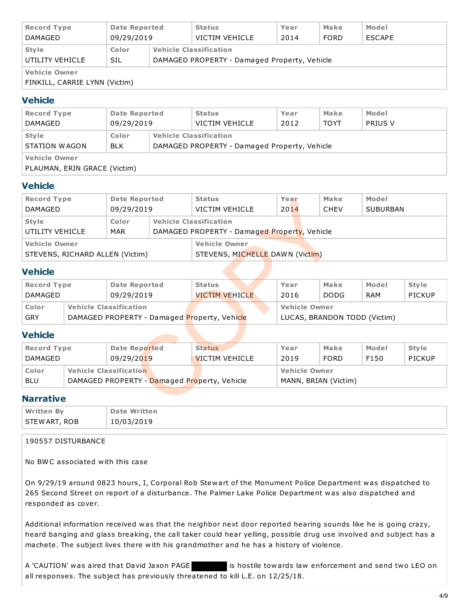| <b>Record Type</b><br>DAMAGED                         | Date Reported<br>09/29/2019 | <b>Status</b><br>VICTIM VEHICLE |                                                                               | Year<br>2014 | Make<br><b>FORD</b> | Model<br><b>ESCAPE</b> |  |  |
|-------------------------------------------------------|-----------------------------|---------------------------------|-------------------------------------------------------------------------------|--------------|---------------------|------------------------|--|--|
| <b>Style</b><br>UTILITY VEHICLE                       | Color<br>SIL                |                                 | <b>Vehicle Classification</b><br>DAMAGED PROPERTY - Damaged Property, Vehicle |              |                     |                        |  |  |
| <b>Vehicle Owner</b><br>FINKILL, CARRIE LYNN (Victim) |                             |                                 |                                                                               |              |                     |                        |  |  |

### **Vehicle**

| <b>Date Reported</b>                                 | <b>Status</b> | Year                                         | Make | Model       |                |  |  |
|------------------------------------------------------|---------------|----------------------------------------------|------|-------------|----------------|--|--|
| DAMAGED                                              | 09/29/2019    | VICTIM VEHICLE                               | 2012 | <b>TOYT</b> | <b>PRIUS V</b> |  |  |
| <b>Style</b>                                         | <b>Color</b>  | <b>Vehicle Classification</b>                |      |             |                |  |  |
| STATION WAGON                                        | <b>BLK</b>    | DAMAGED PROPERTY - Damaged Property, Vehicle |      |             |                |  |  |
| <b>Vehicle Owner</b><br>PLAUMAN, ERIN GRACE (Victim) |               |                                              |      |             |                |  |  |

### **Vehicle**

| <b>Record Type</b>                                     |                                              | <b>Date Reported</b>          |            | <b>Status</b>                                                                |                                              | Year                 |                      | Make          | Model           |               |  |  |
|--------------------------------------------------------|----------------------------------------------|-------------------------------|------------|------------------------------------------------------------------------------|----------------------------------------------|----------------------|----------------------|---------------|-----------------|---------------|--|--|
| <b>DAMAGED</b>                                         |                                              | 09/29/2019                    |            | <b>VICTIM VEHICLE</b>                                                        |                                              | 2014                 |                      | <b>CHEV</b>   | <b>SUBURBAN</b> |               |  |  |
| <b>Vehicle Classification</b><br>Color<br><b>Style</b> |                                              |                               |            |                                                                              |                                              |                      |                      |               |                 |               |  |  |
| UTILITY VEHICLE                                        |                                              | MAR                           |            |                                                                              | DAMAGED PROPERTY - Damaged Property, Vehicle |                      |                      |               |                 |               |  |  |
| <b>Vehicle Owner</b>                                   |                                              |                               |            | <b>Vehicle Owner</b>                                                         |                                              |                      |                      |               |                 |               |  |  |
| STEVENS, RICHARD ALLEN (Victim)                        |                                              |                               |            | STEVENS, MICHELLE DAWN (Victim)                                              |                                              |                      |                      |               |                 |               |  |  |
| <b>Vehicle</b>                                         |                                              |                               |            |                                                                              |                                              |                      |                      |               |                 |               |  |  |
| <b>Record Type</b>                                     |                                              | <b>Date Reported</b>          |            | <b>Status</b>                                                                |                                              | Year                 |                      | Make          | Model           | <b>Style</b>  |  |  |
| <b>DAMAGED</b>                                         |                                              |                               | 09/29/2019 |                                                                              | <b>VICTIM VEHICLE</b>                        | 2016                 |                      | <b>DODG</b>   | RAM             | <b>PICKUP</b> |  |  |
| Color                                                  |                                              | <b>Vehicle Classification</b> |            | <b>Vehicle Owner</b>                                                         |                                              |                      |                      |               |                 |               |  |  |
| <b>GRY</b>                                             |                                              |                               |            | DAMAGED PROPERTY - Damaged Property, Vehicle<br>LUCAS, BRANDON TODD (Victim) |                                              |                      |                      |               |                 |               |  |  |
| <b>Vehicle</b>                                         |                                              |                               |            |                                                                              |                                              |                      |                      |               |                 |               |  |  |
| <b>Record Type</b>                                     |                                              | <b>Date Reported</b>          |            | <b>Status</b>                                                                |                                              | Year                 |                      | Make          | Model           | <b>Style</b>  |  |  |
| <b>DAMAGED</b><br>09/29/2019                           |                                              | <b>VICTIM VEHICLE</b>         |            | 2019                                                                         |                                              | <b>FORD</b>          | F150                 | <b>PICKUP</b> |                 |               |  |  |
| Color                                                  | <b>Vehicle Classification</b>                |                               |            |                                                                              |                                              | <b>Vehicle Owner</b> |                      |               |                 |               |  |  |
| <b>BLU</b>                                             | DAMAGED PROPERTY - Damaged Property, Vehicle |                               |            |                                                                              |                                              |                      | MANN, BRIAN (Victim) |               |                 |               |  |  |
| <b>Narrative</b>                                       |                                              |                               |            |                                                                              |                                              |                      |                      |               |                 |               |  |  |

### **Vehicle**

| <b>Record Type</b>                     |                                              | Date Reported | <b>Status</b>         |  |  | Year                 | Make                         | Model | <b>Style</b> |
|----------------------------------------|----------------------------------------------|---------------|-----------------------|--|--|----------------------|------------------------------|-------|--------------|
| DAMAGED                                |                                              | 09/29/2019    | <b>VICTIM VEHICLE</b> |  |  | 2016                 | <b>DODG</b>                  | RAM   | PICKUP       |
| <b>Vehicle Classification</b><br>Color |                                              |               |                       |  |  | <b>Vehicle Owner</b> |                              |       |              |
| GRY                                    | DAMAGED PROPERTY - Damaged Property, Vehicle |               |                       |  |  |                      | LUCAS, BRANDON TODD (Victim) |       |              |

### **Vehicle**

| <b>Record Type</b>                                         |  | <b>Date Reported</b> |                      | <b>Status</b>         | Year | Make        | Model | <b>Style</b> |
|------------------------------------------------------------|--|----------------------|----------------------|-----------------------|------|-------------|-------|--------------|
| DAMAGED                                                    |  | 09/29/2019           |                      | <b>VICTIM VEHICLE</b> | 2019 | <b>FORD</b> | F150  | PICKUP       |
| <b>Vehicle Classification</b><br>Color                     |  |                      | <b>Vehicle Owner</b> |                       |      |             |       |              |
| DAMAGED PROPERTY - Damaged Property, Vehicle<br><b>BLU</b> |  |                      |                      | MANN, BRIAN (Victim)  |      |             |       |              |

### **Narrative**

| <b>Written By</b> | <b>Date Written</b> |
|-------------------|---------------------|
| STEW ART, ROB     | 10/03/2019          |

#### 190557 DISTURBANCE

No BWC associated with this case

On 9/29/19 around 0823 hours, I, Corporal Rob Stewart of the Monument Police Department was dispatched to 265 Second Street on report of a disturbance. The Palmer Lake Police Department was also dispatched and responded as cover.

Additional information received was that the neighbor next door reported hearing sounds like he is going crazy, heard banging and glass breaking, the call taker could hear yelling, possible drug use involved and subject has a machete. The subject lives there with his grandmother and he has a history of violence.

A 'CAUTION' was aired that David Jaxon PAGE is hostile towards law enforcement and send two LEO on all responses. The subject has previously threatened to kill L.E. on 12/25/18.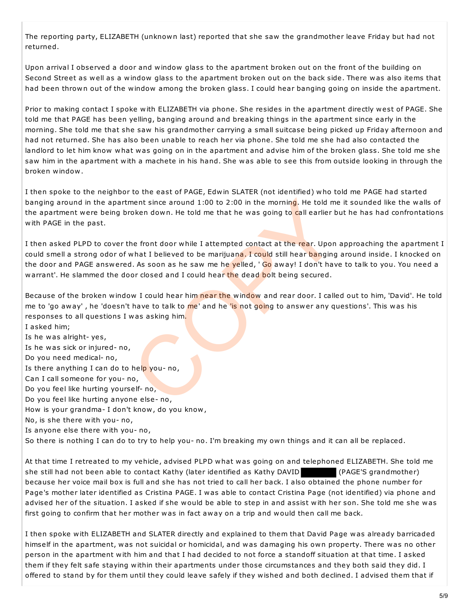The reporting party, ELIZABETH (unknown last) reported that she saw the grandmother leave Friday but had not returned.

Upon arrival I observed a door and window glass to the apartment broken out on the front of the building on Second Street as well as a window glass to the apartment broken out on the back side. There was also items that had been thrown out of the window among the broken glass. I could hear banging going on inside the apartment.

Prior to making contact I spoke with ELIZABETH via phone. She resides in the apartment directly west of PAGE. She told me that PAGE has been yelling, banging around and breaking things in the apartment since early in the morning. She told me that she saw his grandmother carrying a small suitcase being picked up Friday afternoon and had not returned. She has also been unable to reach her via phone. She told me she had also contacted the landlord to let him know what was going on in the apartment and advise him of the broken glass. She told me she saw him in the apartment with a machete in his hand. She was able to see this from outside looking in through the broken window.

I then spoke to the neighbor to the east of PAGE, Edwin SLATER (not identified) who told me PAGE had started banging around in the apartment since around 1:00 to 2:00 in the morning. He told me it sounded like the walls of the apartment were being broken down. He told me that he was going to call earlier but he has had confrontations with PAGE in the past.

I then asked PLPD to cover the front door while I attempted contact at the rear. Upon approaching the apartment I could smell a strong odor of what I believed to be marijuana. I could still hear banging around inside. I knocked on the door and PAGE answered. As soon as he saw me he yelled, ' Go away! I don't have to talk to you. You need a warrant'. He slammed the door closed and I could hear the dead bolt being secured.

Because of the broken window I could hear him near the window and rear door. I called out to him, 'David'. He told me to 'go away', he 'doesn't have to talk to me' and he 'is not going to answer any questions'. This was his responses to all questions I was asking him.

I asked him; Is he was alright- yes, Is he was sick or injured- no, Do you need medical- no, Is there anything I can do to help you- no, Can I call someone for you- no, Do you feel like hurting yourself- no, Do you feel like hurting anyone else- no, How is your grandma- I don't know, do you know, No, is she there with you- no, Is anyone else there with you- no, So there is nothing I can do to try to help you- no. I'm breaking my own things and it can all be replaced. ment since around 1:00 to 2:00 in the morning. He told me<br>
roken down. He told me that he was going to call earlier b<br>
he front door while I attempted contact at the rear. Upon<br>
what I believed to be marijuana. I could sti

At that time I retreated to my vehicle, advised PLPD what was going on and telephoned ELIZABETH. She told me she still had not been able to contact Kathy (later identified as Kathy DAVID (PAGE'S grandmother) because her voice mail box is full and she has not tried to call her back. I also obtained the phone number for Page's mother later identified as Cristina PAGE. I was able to contact Cristina Page (not identified) via phone and advised her of the situation. I asked if she would be able to step in and assist with her son. She told me she was first going to confirm that her mother was in fact away on a trip and would then call me back.

I then spoke with ELIZABETH and SLATER directly and explained to them that David Page was already barricaded himself in the apartment, was not suicidal or homicidal, and was damaging his own property. There was no other person in the apartment with him and that I had decided to not force a standoff situation at that time. I asked them if they felt safe staying within their apartments under those circumstances and they both said they did. I offered to stand by for them until they could leave safely if they wished and both declined. I advised them that if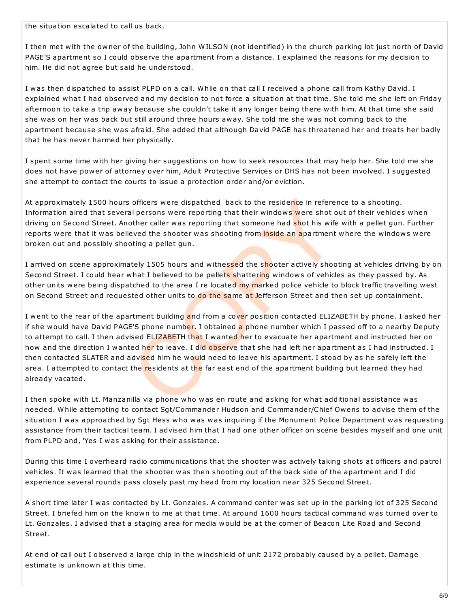the situation escalated to call us back.

I then met with the owner of the building, John WILSON (not identified) in the church parking lot just north of David PAGE'S apartment so I could observe the apartment from a distance. I explained the reasons for my decision to him. He did not agree but said he understood.

I was then dispatched to assist PLPD on a call. While on that call I received a phone call from Kathy David. I explained what I had observed and my decision to not force a situation at that time. She told me she left on Friday afternoon to take a trip away because she couldn't take it any longer being there with him. At that time she said she was on her was back but still around three hours away. She told me she was not coming back to the apartment because she was afraid. She added that although David PAGE has threatened her and treats her badly that he has never harmed her physically.

I spent some time with her giving her suggestions on how to seek resources that may help her. She told me she does not have power of attorney over him, Adult Protective Services or DHS has not been involved. I suggested she attempt to contact the courts to issue a protection order and/or eviction.

At approximately 1500 hours officers were dispatched back to the residence in reference to a shooting. Information aired that several persons were reporting that their windows were shot out of their vehicles when driving on Second Street. Another caller was reporting that someone had shot his wife with a pellet gun. Further reports were that it was believed the shooter was shooting from inside an apartment where the windows were broken out and possibly shooting a pellet gun.

I arrived on scene approximately 1505 hours and witnessed the shooter actively shooting at vehicles driving by on Second Street. I could hear what I believed to be pellets shattering windows of vehicles as they passed by. As other units were being dispatched to the area I re located my marked police vehicle to block traffic travelling west on Second Street and requested other units to do the same at Jefferson Street and then set up containment.

I went to the rear of the apartment building and from a cover position contacted ELIZABETH by phone. I asked her if she would have David PAGE'S phone number. I obtained a phone number which I passed off to a nearby Deputy to attempt to call. I then advised ELIZABETH that I wanted her to evacuate her apartment and instructed her on how and the direction I wanted her to leave. I did observe that she had left her apartment as I had instructed. I then contacted SLATER and advised him he would need to leave his apartment. I stood by as he safely left the area. I attempted to contact the residents at the far east end of the apartment building but learned they had already vacated. officers were dispatched back to the residence in referer<br>al persons were reporting that their windows were shot of<br>other caller was reporting that someone had shot his wife<br>eved the shooter was shooting from inside an apa

I then spoke with Lt. Manzanilla via phone who was en route and asking for what additional assistance was needed. While attempting to contact Sgt/Commander Hudson and Commander/Chief Owens to advise them of the situation I was approached by Sgt Hess who was was inquiring if the Monument Police Department was requesting assistance from their tactical team. I advised him that I had one other officer on scene besides myself and one unit from PLPD and, 'Yes I was asking for their assistance.

During this time I overheard radio communications that the shooter was actively taking shots at officers and patrol vehicles. It was learned that the shooter was then shooting out of the back side of the apartment and I did experience several rounds pass closely past my head from my location near 325 Second Street.

A short time later I was contacted by Lt. Gonzales. A command center was set up in the parking lot of 325 Second Street. I briefed him on the known to me at that time. At around 1600 hours tactical command was turned over to Lt. Gonzales. I advised that a staging area for media would be at the corner of Beacon Lite Road and Second Street.

At end of call out I observed a large chip in the windshield of unit 2172 probably caused by a pellet. Damage estimate is unknown at this time.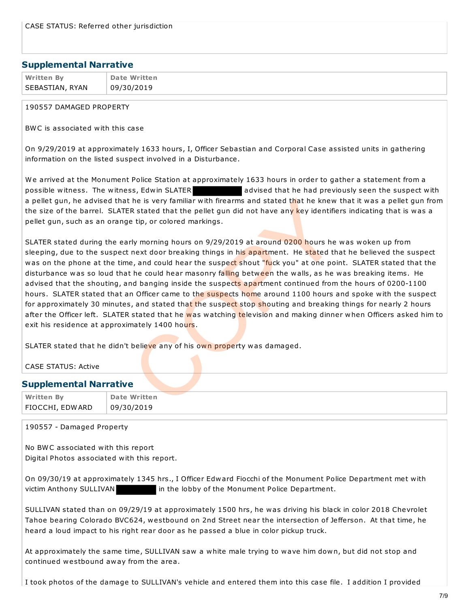#### **Supplemental Narrative**

| <b>Written By</b> | Date Written |
|-------------------|--------------|
| SEBASTIAN, RYAN   | 09/30/2019   |

#### 190557 DAMAGED PROPERTY

BWC is associated with this case

On 9/29/2019 at approximately 1633 hours, I, Officer Sebastian and Corporal Case assisted units in gathering information on the listed suspect involved in a Disturbance.

We arrived at the Monument Police Station at approximately 1633 hours in order to gather a statement from a possible witness. The witness, Edwin SLATER advised that he had previously seen the suspect with a pellet gun, he advised that he is very familiar with firearms and stated that he knew that it was a pellet gun from the size of the barrel. SLATER stated that the pellet gun did not have any key identifiers indicating that is was a pellet gun, such as an orange tip, or colored markings.

SLATER stated during the early morning hours on 9/29/2019 at around 0200 hours he was woken up from sleeping, due to the suspect next door breaking things in his apartment. He stated that he believed the suspect was on the phone at the time, and could hear the suspect shout "fuck you" at one point. SLATER stated that the disturbance was so loud that he could hear masonry falling between the walls, as he was breaking items. He advised that the shouting, and banging inside the suspects apartment continued from the hours of 0200-1100 hours. SLATER stated that an Officer came to the suspects home around 1100 hours and spoke with the suspect for approximately 30 minutes, and stated that the suspect stop shouting and breaking things for nearly 2 hours after the Officer left. SLATER stated that he was watching television and making dinner when Officers asked him to exit his residence at approximately 1400 hours. the is very familiar with firearms and stated that he knew<br>
R stated that the pellet gun did not have any key identifies<br>
the pellet gun did not have any key identifies<br>
the pellet gun did not have any key identifies<br>
the

SLATER stated that he didn't believe any of his own property was damaged.

| CASE STATUS: Active           |                     |  |  |  |  |
|-------------------------------|---------------------|--|--|--|--|
| <b>Supplemental Narrative</b> |                     |  |  |  |  |
| <b>Written By</b>             | <b>Date Written</b> |  |  |  |  |
| FIOCCHI, EDWARD!              | 09/30/2019          |  |  |  |  |

190557 - Damaged Property

No BWC associated with this report Digital Photos associated with this report.

On 09/30/19 at approximately 1345 hrs., I Officer Edward Fiocchi of the Monument Police Department met with victim Anthony SULLIVAN in the lobby of the Monument Police Department.

SULLIVAN stated than on 09/29/19 at approximately 1500 hrs, he was driving his black in color 2018 Chevrolet Tahoe bearing Colorado BVC624, westbound on 2nd Street near the intersection of Jefferson. At that time, he heard a loud impact to his right rear door as he passed a blue in color pickup truck.

At approximately the same time, SULLIVAN saw a white male trying to wave him down, but did not stop and continued westbound away from the area.

I took photos of the damage to SULLIVAN's vehicle and entered them into this case file. I addition I provided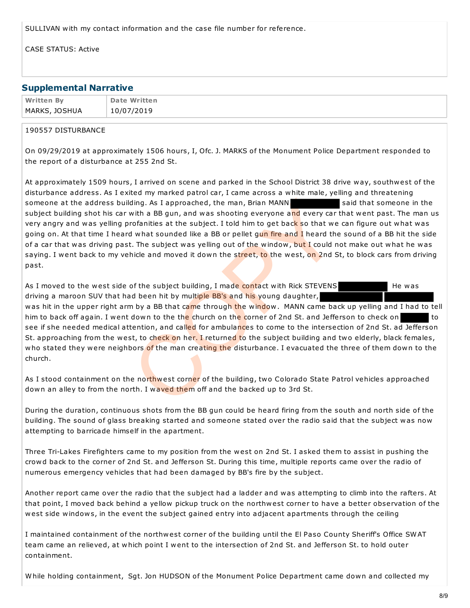SULLIVAN with my contact information and the case file number for reference.

CASE STATUS: Active

#### **Supplemental Narrative**

| <b>Written By</b> | <b>Date Written</b> |
|-------------------|---------------------|
| MARKS, JOSHUA     | 10/07/2019          |

#### 190557 DISTURBANCE

On 09/29/2019 at approximately 1506 hours, I, Ofc. J. MARKS of the Monument Police Department responded to the report of a disturbance at 255 2nd St.

At approximately 1509 hours, I arrived on scene and parked in the School District 38 drive way, southwest of the disturbance address. As I exited my marked patrol car, I came across a white male, yelling and threatening someone at the address building. As I approached, the man, Brian MANN said that someone in the subject building shot his car with a BB gun, and was shooting everyone and every car that went past. The man us very angry and was yelling profanities at the subject. I told him to get back so that we can figure out what was going on. At that time I heard what sounded like a BB or pellet gun fire and I heard the sound of a BB hit the side of a car that was driving past. The subject was yelling out of the window, but I could not make out what he was saying. I went back to my vehicle and moved it down the street, to the west, on 2nd St, to block cars from driving past.

As I moved to the west side of the subject building, I made contact with Rick STEVENS He was driving a maroon SUV that had been hit by multiple BB's and his young daughter, was hit in the upper right arm by a BB that came through the window. MANN came back up yelling and I had to tell him to back off again. I went down to the the church on the corner of 2nd St. and Jefferson to check on to to see if she needed medical attention, and called for ambulances to come to the intersection of 2nd St. ad Jefferson St. approaching from the west, to check on her. I returned to the subject building and two elderly, black females, who stated they were neighbors of the man creating the disturbance. I evacuated the three of them down to the church. ding. As I approached, the man, Brian MANN<br>with a BB gun, and was shooting everyone and every car<br>rofanities at the subject. I told him to get back so that we<br>d what sounded like a BB or pellet gu<mark>n fire and I</mark> heard the<br>t

As I stood containment on the northwest corner of the building, two Colorado State Patrol vehicles approached down an alley to from the north. I waved them off and the backed up to 3rd St.

During the duration, continuous shots from the BB gun could be heard firing from the south and north side of the building. The sound of glass breaking started and someone stated over the radio said that the subject was now attempting to barricade himself in the apartment.

Three Tri-Lakes Firefighters came to my position from the west on 2nd St. I asked them to assist in pushing the crowd back to the corner of 2nd St. and Jefferson St. During this time, multiple reports came over the radio of numerous emergency vehicles that had been damaged by BB's fire by the subject.

Another report came over the radio that the subject had a ladder and was attempting to climb into the rafters. At that point, I moved back behind a yellow pickup truck on the northwest corner to have a better observation of the west side windows, in the event the subject gained entry into adjacent apartments through the ceiling

I maintained containment of the northwest corner of the building until the El Paso County Sheriff's Office SWAT team came an relieved, at which point I went to the intersection of 2nd St. and Jefferson St. to hold outer containment.

While holding containment, Sgt. Jon HUDSON of the Monument Police Department came down and collected my